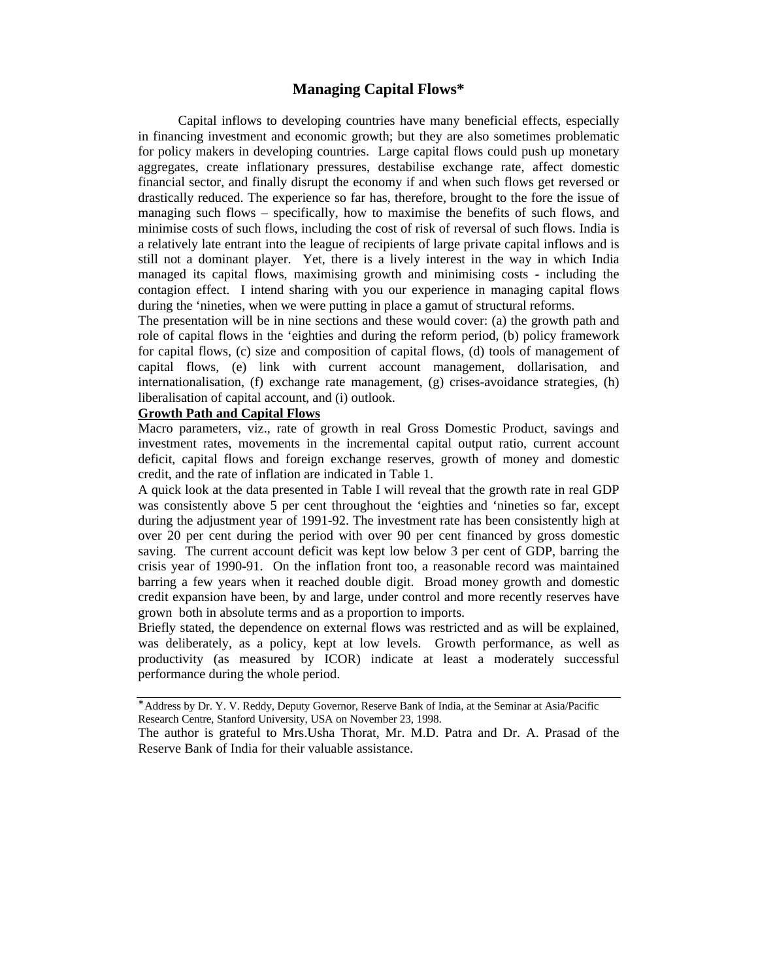### **Managing Capital Flows\***

Capital inflows to developing countries have many beneficial effects, especially in financing investment and economic growth; but they are also sometimes problematic for policy makers in developing countries. Large capital flows could push up monetary aggregates, create inflationary pressures, destabilise exchange rate, affect domestic financial sector, and finally disrupt the economy if and when such flows get reversed or drastically reduced. The experience so far has, therefore, brought to the fore the issue of managing such flows – specifically, how to maximise the benefits of such flows, and minimise costs of such flows, including the cost of risk of reversal of such flows. India is a relatively late entrant into the league of recipients of large private capital inflows and is still not a dominant player. Yet, there is a lively interest in the way in which India managed its capital flows, maximising growth and minimising costs - including the contagion effect. I intend sharing with you our experience in managing capital flows during the 'nineties, when we were putting in place a gamut of structural reforms.

The presentation will be in nine sections and these would cover: (a) the growth path and role of capital flows in the 'eighties and during the reform period, (b) policy framework for capital flows, (c) size and composition of capital flows, (d) tools of management of capital flows, (e) link with current account management, dollarisation, and internationalisation, (f) exchange rate management,  $(g)$  crises-avoidance strategies,  $(h)$ liberalisation of capital account, and (i) outlook.

#### **Growth Path and Capital Flows**

Macro parameters, viz., rate of growth in real Gross Domestic Product, savings and investment rates, movements in the incremental capital output ratio, current account deficit, capital flows and foreign exchange reserves, growth of money and domestic credit, and the rate of inflation are indicated in Table 1.

A quick look at the data presented in Table I will reveal that the growth rate in real GDP was consistently above 5 per cent throughout the 'eighties and 'nineties so far, except during the adjustment year of 1991-92. The investment rate has been consistently high at over 20 per cent during the period with over 90 per cent financed by gross domestic saving. The current account deficit was kept low below 3 per cent of GDP, barring the crisis year of 1990-91. On the inflation front too, a reasonable record was maintained barring a few years when it reached double digit. Broad money growth and domestic credit expansion have been, by and large, under control and more recently reserves have grown both in absolute terms and as a proportion to imports.

Briefly stated, the dependence on external flows was restricted and as will be explained, was deliberately, as a policy, kept at low levels. Growth performance, as well as productivity (as measured by ICOR) indicate at least a moderately successful performance during the whole period.

<sup>∗</sup> Address by Dr. Y. V. Reddy, Deputy Governor, Reserve Bank of India, at the Seminar at Asia/Pacific Research Centre, Stanford University, USA on November 23, 1998.

The author is grateful to Mrs.Usha Thorat, Mr. M.D. Patra and Dr. A. Prasad of the Reserve Bank of India for their valuable assistance.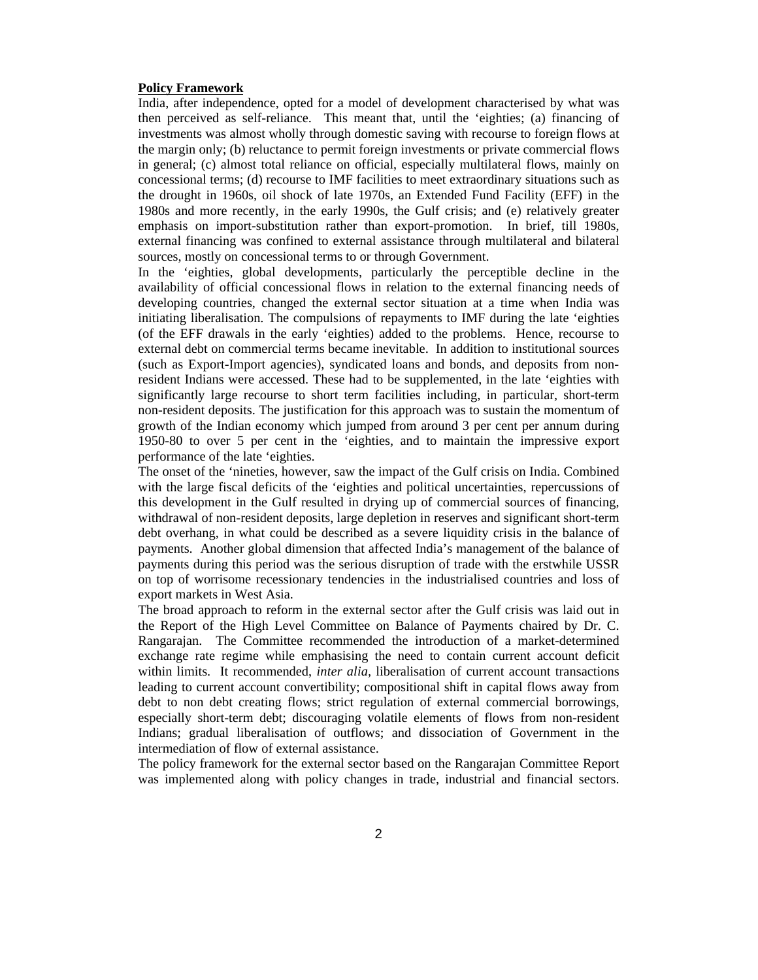#### **Policy Framework**

India, after independence, opted for a model of development characterised by what was then perceived as self-reliance. This meant that, until the 'eighties; (a) financing of investments was almost wholly through domestic saving with recourse to foreign flows at the margin only; (b) reluctance to permit foreign investments or private commercial flows in general; (c) almost total reliance on official, especially multilateral flows, mainly on concessional terms; (d) recourse to IMF facilities to meet extraordinary situations such as the drought in 1960s, oil shock of late 1970s, an Extended Fund Facility (EFF) in the 1980s and more recently, in the early 1990s, the Gulf crisis; and (e) relatively greater emphasis on import-substitution rather than export-promotion. In brief, till 1980s, external financing was confined to external assistance through multilateral and bilateral sources, mostly on concessional terms to or through Government.

In the 'eighties, global developments, particularly the perceptible decline in the availability of official concessional flows in relation to the external financing needs of developing countries, changed the external sector situation at a time when India was initiating liberalisation. The compulsions of repayments to IMF during the late 'eighties (of the EFF drawals in the early 'eighties) added to the problems. Hence, recourse to external debt on commercial terms became inevitable. In addition to institutional sources (such as Export-Import agencies), syndicated loans and bonds, and deposits from nonresident Indians were accessed. These had to be supplemented, in the late 'eighties with significantly large recourse to short term facilities including, in particular, short-term non-resident deposits. The justification for this approach was to sustain the momentum of growth of the Indian economy which jumped from around 3 per cent per annum during 1950-80 to over 5 per cent in the 'eighties, and to maintain the impressive export performance of the late 'eighties.

The onset of the 'nineties, however, saw the impact of the Gulf crisis on India. Combined with the large fiscal deficits of the 'eighties and political uncertainties, repercussions of this development in the Gulf resulted in drying up of commercial sources of financing, withdrawal of non-resident deposits, large depletion in reserves and significant short-term debt overhang, in what could be described as a severe liquidity crisis in the balance of payments. Another global dimension that affected India's management of the balance of payments during this period was the serious disruption of trade with the erstwhile USSR on top of worrisome recessionary tendencies in the industrialised countries and loss of export markets in West Asia.

The broad approach to reform in the external sector after the Gulf crisis was laid out in the Report of the High Level Committee on Balance of Payments chaired by Dr. C. Rangarajan. The Committee recommended the introduction of a market-determined exchange rate regime while emphasising the need to contain current account deficit within limits. It recommended, *inter alia,* liberalisation of current account transactions leading to current account convertibility; compositional shift in capital flows away from debt to non debt creating flows; strict regulation of external commercial borrowings, especially short-term debt; discouraging volatile elements of flows from non-resident Indians; gradual liberalisation of outflows; and dissociation of Government in the intermediation of flow of external assistance.

The policy framework for the external sector based on the Rangarajan Committee Report was implemented along with policy changes in trade, industrial and financial sectors.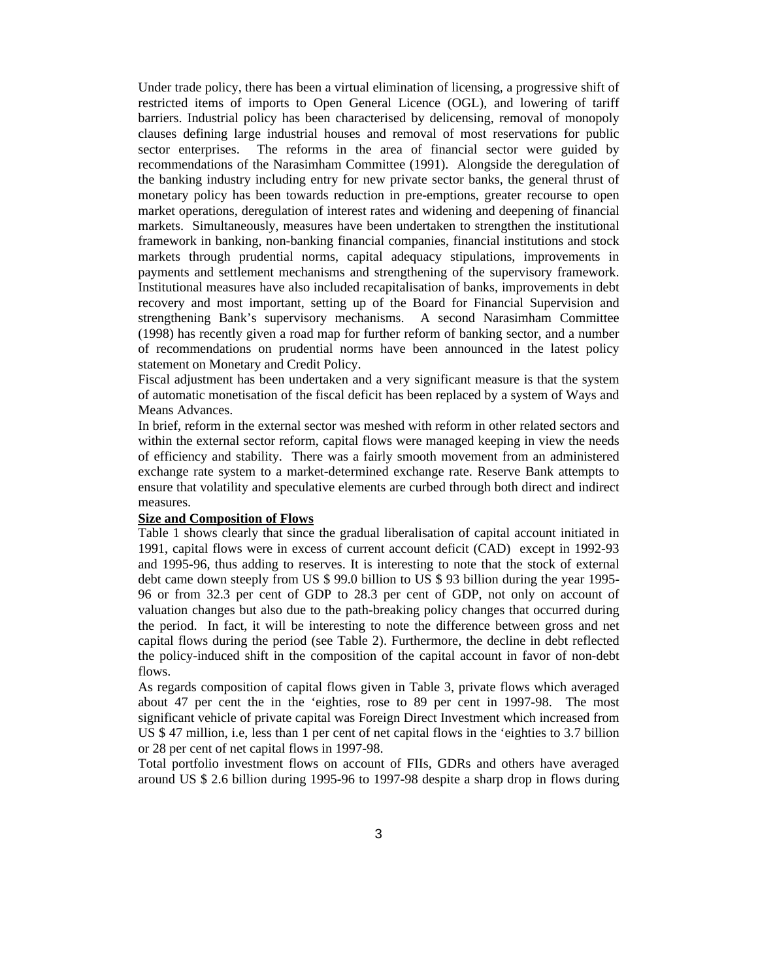Under trade policy, there has been a virtual elimination of licensing, a progressive shift of restricted items of imports to Open General Licence (OGL), and lowering of tariff barriers. Industrial policy has been characterised by delicensing, removal of monopoly clauses defining large industrial houses and removal of most reservations for public sector enterprises. The reforms in the area of financial sector were guided by recommendations of the Narasimham Committee (1991). Alongside the deregulation of the banking industry including entry for new private sector banks, the general thrust of monetary policy has been towards reduction in pre-emptions, greater recourse to open market operations, deregulation of interest rates and widening and deepening of financial markets. Simultaneously, measures have been undertaken to strengthen the institutional framework in banking, non-banking financial companies, financial institutions and stock markets through prudential norms, capital adequacy stipulations, improvements in payments and settlement mechanisms and strengthening of the supervisory framework. Institutional measures have also included recapitalisation of banks, improvements in debt recovery and most important, setting up of the Board for Financial Supervision and strengthening Bank's supervisory mechanisms. A second Narasimham Committee (1998) has recently given a road map for further reform of banking sector, and a number of recommendations on prudential norms have been announced in the latest policy statement on Monetary and Credit Policy.

Fiscal adjustment has been undertaken and a very significant measure is that the system of automatic monetisation of the fiscal deficit has been replaced by a system of Ways and Means Advances.

In brief, reform in the external sector was meshed with reform in other related sectors and within the external sector reform, capital flows were managed keeping in view the needs of efficiency and stability. There was a fairly smooth movement from an administered exchange rate system to a market-determined exchange rate. Reserve Bank attempts to ensure that volatility and speculative elements are curbed through both direct and indirect measures.

#### **Size and Composition of Flows**

Table 1 shows clearly that since the gradual liberalisation of capital account initiated in 1991, capital flows were in excess of current account deficit (CAD) except in 1992-93 and 1995-96, thus adding to reserves. It is interesting to note that the stock of external debt came down steeply from US \$ 99.0 billion to US \$ 93 billion during the year 1995- 96 or from 32.3 per cent of GDP to 28.3 per cent of GDP, not only on account of valuation changes but also due to the path-breaking policy changes that occurred during the period. In fact, it will be interesting to note the difference between gross and net capital flows during the period (see Table 2). Furthermore, the decline in debt reflected the policy-induced shift in the composition of the capital account in favor of non-debt flows.

As regards composition of capital flows given in Table 3, private flows which averaged about 47 per cent the in the 'eighties, rose to 89 per cent in 1997-98. The most significant vehicle of private capital was Foreign Direct Investment which increased from US \$ 47 million, i.e, less than 1 per cent of net capital flows in the 'eighties to 3.7 billion or 28 per cent of net capital flows in 1997-98.

Total portfolio investment flows on account of FIIs, GDRs and others have averaged around US \$ 2.6 billion during 1995-96 to 1997-98 despite a sharp drop in flows during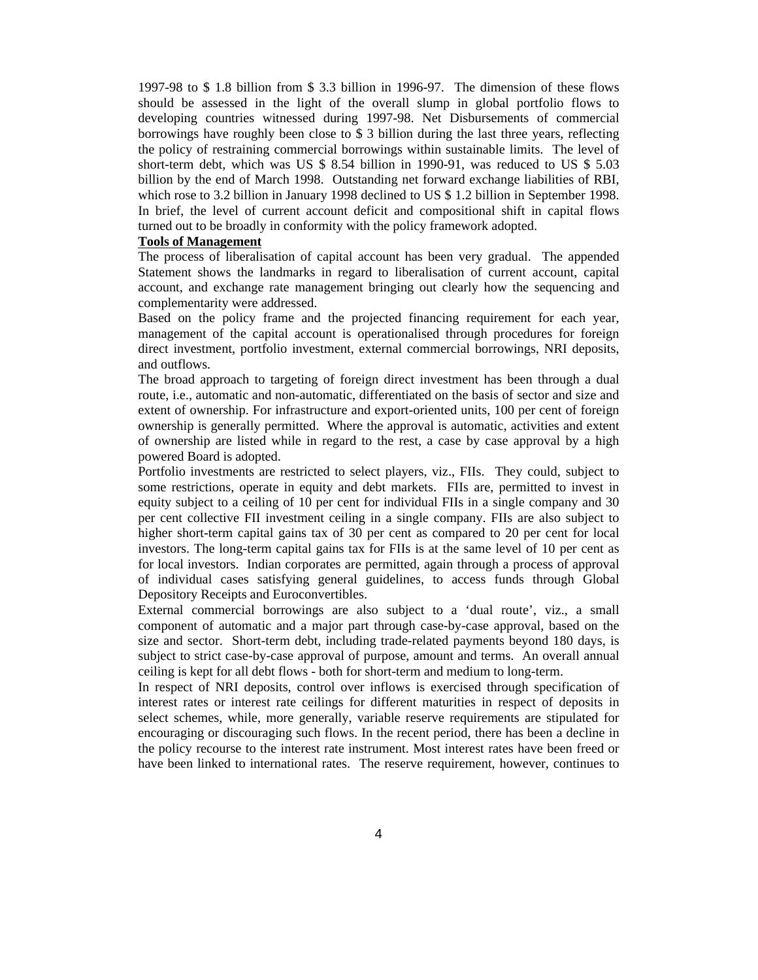1997-98 to \$ 1.8 billion from \$ 3.3 billion in 1996-97. The dimension of these flows should be assessed in the light of the overall slump in global portfolio flows to developing countries witnessed during 1997-98. Net Disbursements of commercial borrowings have roughly been close to \$ 3 billion during the last three years, reflecting the policy of restraining commercial borrowings within sustainable limits. The level of short-term debt, which was US \$ 8.54 billion in 1990-91, was reduced to US \$ 5.03 billion by the end of March 1998. Outstanding net forward exchange liabilities of RBI, which rose to 3.2 billion in January 1998 declined to US \$ 1.2 billion in September 1998. In brief, the level of current account deficit and compositional shift in capital flows turned out to be broadly in conformity with the policy framework adopted.

#### **Tools of Management**

The process of liberalisation of capital account has been very gradual. The appended Statement shows the landmarks in regard to liberalisation of current account, capital account, and exchange rate management bringing out clearly how the sequencing and complementarity were addressed.

Based on the policy frame and the projected financing requirement for each year, management of the capital account is operationalised through procedures for foreign direct investment, portfolio investment, external commercial borrowings, NRI deposits, and outflows.

The broad approach to targeting of foreign direct investment has been through a dual route, i.e., automatic and non-automatic, differentiated on the basis of sector and size and extent of ownership. For infrastructure and export-oriented units, 100 per cent of foreign ownership is generally permitted. Where the approval is automatic, activities and extent of ownership are listed while in regard to the rest, a case by case approval by a high powered Board is adopted.

Portfolio investments are restricted to select players, viz., FIIs. They could, subject to some restrictions, operate in equity and debt markets. FIIs are, permitted to invest in equity subject to a ceiling of 10 per cent for individual FIIs in a single company and 30 per cent collective FII investment ceiling in a single company. FIIs are also subject to higher short-term capital gains tax of 30 per cent as compared to 20 per cent for local investors. The long-term capital gains tax for FIIs is at the same level of 10 per cent as for local investors. Indian corporates are permitted, again through a process of approval of individual cases satisfying general guidelines, to access funds through Global Depository Receipts and Euroconvertibles.

External commercial borrowings are also subject to a 'dual route', viz., a small component of automatic and a major part through case-by-case approval, based on the size and sector. Short-term debt, including trade-related payments beyond 180 days, is subject to strict case-by-case approval of purpose, amount and terms. An overall annual ceiling is kept for all debt flows - both for short-term and medium to long-term.

In respect of NRI deposits, control over inflows is exercised through specification of interest rates or interest rate ceilings for different maturities in respect of deposits in select schemes, while, more generally, variable reserve requirements are stipulated for encouraging or discouraging such flows. In the recent period, there has been a decline in the policy recourse to the interest rate instrument. Most interest rates have been freed or have been linked to international rates. The reserve requirement, however, continues to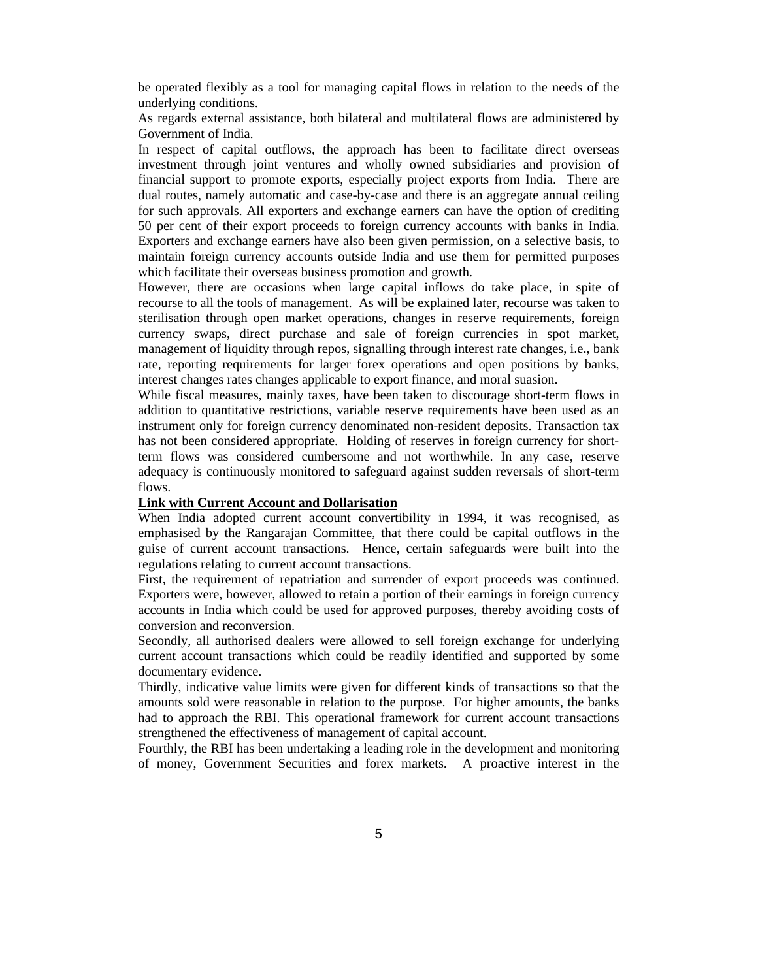be operated flexibly as a tool for managing capital flows in relation to the needs of the underlying conditions.

As regards external assistance, both bilateral and multilateral flows are administered by Government of India.

In respect of capital outflows, the approach has been to facilitate direct overseas investment through joint ventures and wholly owned subsidiaries and provision of financial support to promote exports, especially project exports from India. There are dual routes, namely automatic and case-by-case and there is an aggregate annual ceiling for such approvals. All exporters and exchange earners can have the option of crediting 50 per cent of their export proceeds to foreign currency accounts with banks in India. Exporters and exchange earners have also been given permission, on a selective basis, to maintain foreign currency accounts outside India and use them for permitted purposes which facilitate their overseas business promotion and growth.

However, there are occasions when large capital inflows do take place, in spite of recourse to all the tools of management. As will be explained later, recourse was taken to sterilisation through open market operations, changes in reserve requirements, foreign currency swaps, direct purchase and sale of foreign currencies in spot market, management of liquidity through repos, signalling through interest rate changes, i.e., bank rate, reporting requirements for larger forex operations and open positions by banks, interest changes rates changes applicable to export finance, and moral suasion.

While fiscal measures, mainly taxes, have been taken to discourage short-term flows in addition to quantitative restrictions, variable reserve requirements have been used as an instrument only for foreign currency denominated non-resident deposits. Transaction tax has not been considered appropriate. Holding of reserves in foreign currency for shortterm flows was considered cumbersome and not worthwhile. In any case, reserve adequacy is continuously monitored to safeguard against sudden reversals of short-term flows.

#### **Link with Current Account and Dollarisation**

When India adopted current account convertibility in 1994, it was recognised, as emphasised by the Rangarajan Committee, that there could be capital outflows in the guise of current account transactions. Hence, certain safeguards were built into the regulations relating to current account transactions.

First, the requirement of repatriation and surrender of export proceeds was continued. Exporters were, however, allowed to retain a portion of their earnings in foreign currency accounts in India which could be used for approved purposes, thereby avoiding costs of conversion and reconversion.

Secondly, all authorised dealers were allowed to sell foreign exchange for underlying current account transactions which could be readily identified and supported by some documentary evidence.

Thirdly, indicative value limits were given for different kinds of transactions so that the amounts sold were reasonable in relation to the purpose. For higher amounts, the banks had to approach the RBI. This operational framework for current account transactions strengthened the effectiveness of management of capital account.

Fourthly, the RBI has been undertaking a leading role in the development and monitoring of money, Government Securities and forex markets. A proactive interest in the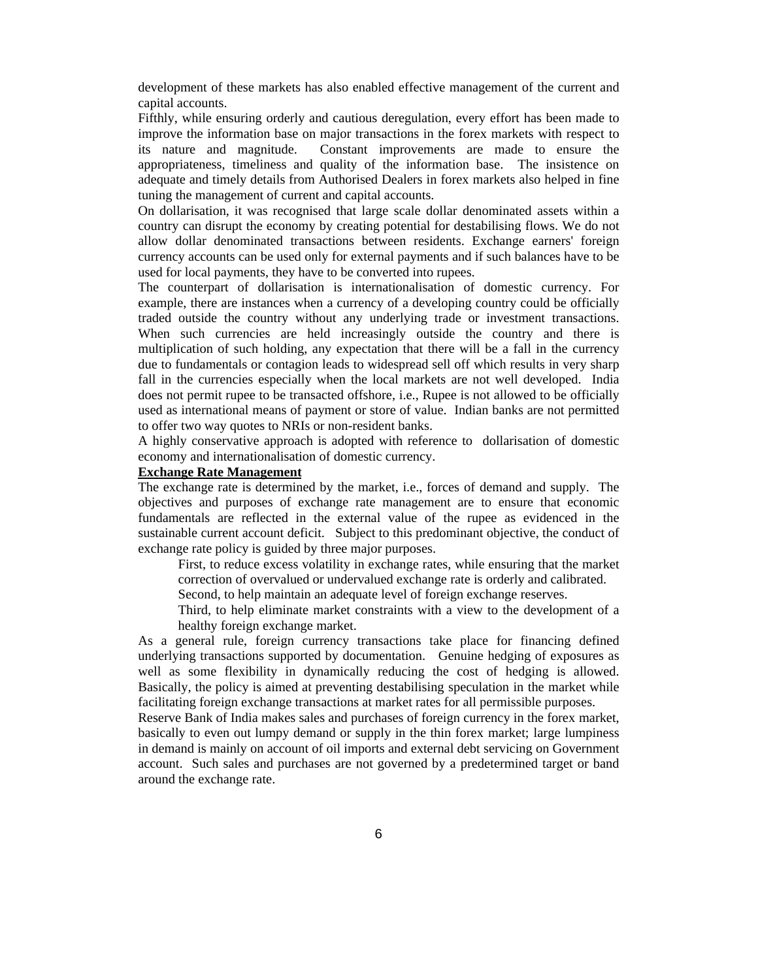development of these markets has also enabled effective management of the current and capital accounts.

Fifthly, while ensuring orderly and cautious deregulation, every effort has been made to improve the information base on major transactions in the forex markets with respect to its nature and magnitude. Constant improvements are made to ensure the appropriateness, timeliness and quality of the information base. The insistence on adequate and timely details from Authorised Dealers in forex markets also helped in fine tuning the management of current and capital accounts.

On dollarisation, it was recognised that large scale dollar denominated assets within a country can disrupt the economy by creating potential for destabilising flows. We do not allow dollar denominated transactions between residents. Exchange earners' foreign currency accounts can be used only for external payments and if such balances have to be used for local payments, they have to be converted into rupees.

The counterpart of dollarisation is internationalisation of domestic currency. For example, there are instances when a currency of a developing country could be officially traded outside the country without any underlying trade or investment transactions. When such currencies are held increasingly outside the country and there is multiplication of such holding, any expectation that there will be a fall in the currency due to fundamentals or contagion leads to widespread sell off which results in very sharp fall in the currencies especially when the local markets are not well developed. India does not permit rupee to be transacted offshore, i.e., Rupee is not allowed to be officially used as international means of payment or store of value. Indian banks are not permitted to offer two way quotes to NRIs or non-resident banks.

A highly conservative approach is adopted with reference to dollarisation of domestic economy and internationalisation of domestic currency.

#### **Exchange Rate Management**

The exchange rate is determined by the market, i.e., forces of demand and supply. The objectives and purposes of exchange rate management are to ensure that economic fundamentals are reflected in the external value of the rupee as evidenced in the sustainable current account deficit. Subject to this predominant objective, the conduct of exchange rate policy is guided by three major purposes.

First, to reduce excess volatility in exchange rates, while ensuring that the market correction of overvalued or undervalued exchange rate is orderly and calibrated.

Second, to help maintain an adequate level of foreign exchange reserves.

Third, to help eliminate market constraints with a view to the development of a healthy foreign exchange market.

As a general rule, foreign currency transactions take place for financing defined underlying transactions supported by documentation. Genuine hedging of exposures as well as some flexibility in dynamically reducing the cost of hedging is allowed. Basically, the policy is aimed at preventing destabilising speculation in the market while facilitating foreign exchange transactions at market rates for all permissible purposes.

Reserve Bank of India makes sales and purchases of foreign currency in the forex market, basically to even out lumpy demand or supply in the thin forex market; large lumpiness in demand is mainly on account of oil imports and external debt servicing on Government account. Such sales and purchases are not governed by a predetermined target or band around the exchange rate.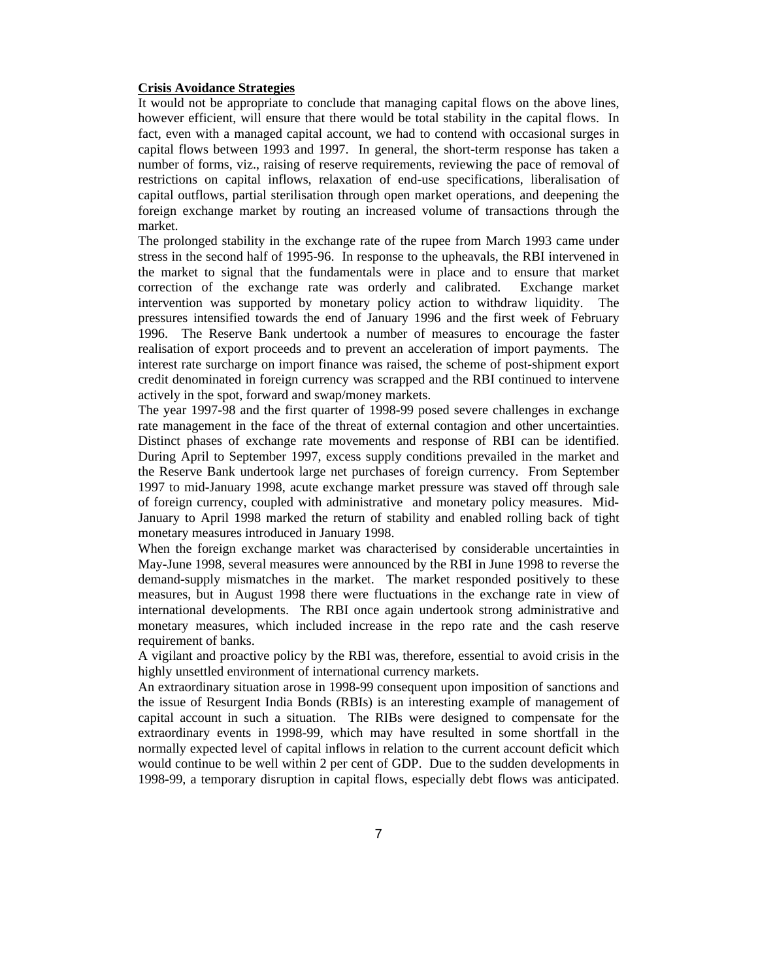#### **Crisis Avoidance Strategies**

It would not be appropriate to conclude that managing capital flows on the above lines, however efficient, will ensure that there would be total stability in the capital flows. In fact, even with a managed capital account, we had to contend with occasional surges in capital flows between 1993 and 1997. In general, the short-term response has taken a number of forms, viz., raising of reserve requirements, reviewing the pace of removal of restrictions on capital inflows, relaxation of end-use specifications, liberalisation of capital outflows, partial sterilisation through open market operations, and deepening the foreign exchange market by routing an increased volume of transactions through the market.

The prolonged stability in the exchange rate of the rupee from March 1993 came under stress in the second half of 1995-96. In response to the upheavals, the RBI intervened in the market to signal that the fundamentals were in place and to ensure that market correction of the exchange rate was orderly and calibrated. Exchange market intervention was supported by monetary policy action to withdraw liquidity. The pressures intensified towards the end of January 1996 and the first week of February 1996. The Reserve Bank undertook a number of measures to encourage the faster realisation of export proceeds and to prevent an acceleration of import payments. The interest rate surcharge on import finance was raised, the scheme of post-shipment export credit denominated in foreign currency was scrapped and the RBI continued to intervene actively in the spot, forward and swap/money markets.

The year 1997-98 and the first quarter of 1998-99 posed severe challenges in exchange rate management in the face of the threat of external contagion and other uncertainties. Distinct phases of exchange rate movements and response of RBI can be identified. During April to September 1997, excess supply conditions prevailed in the market and the Reserve Bank undertook large net purchases of foreign currency. From September 1997 to mid-January 1998, acute exchange market pressure was staved off through sale of foreign currency, coupled with administrative and monetary policy measures. Mid-January to April 1998 marked the return of stability and enabled rolling back of tight monetary measures introduced in January 1998.

When the foreign exchange market was characterised by considerable uncertainties in May-June 1998, several measures were announced by the RBI in June 1998 to reverse the demand-supply mismatches in the market. The market responded positively to these measures, but in August 1998 there were fluctuations in the exchange rate in view of international developments. The RBI once again undertook strong administrative and monetary measures, which included increase in the repo rate and the cash reserve requirement of banks.

A vigilant and proactive policy by the RBI was, therefore, essential to avoid crisis in the highly unsettled environment of international currency markets.

An extraordinary situation arose in 1998-99 consequent upon imposition of sanctions and the issue of Resurgent India Bonds (RBIs) is an interesting example of management of capital account in such a situation. The RIBs were designed to compensate for the extraordinary events in 1998-99, which may have resulted in some shortfall in the normally expected level of capital inflows in relation to the current account deficit which would continue to be well within 2 per cent of GDP. Due to the sudden developments in 1998-99, a temporary disruption in capital flows, especially debt flows was anticipated.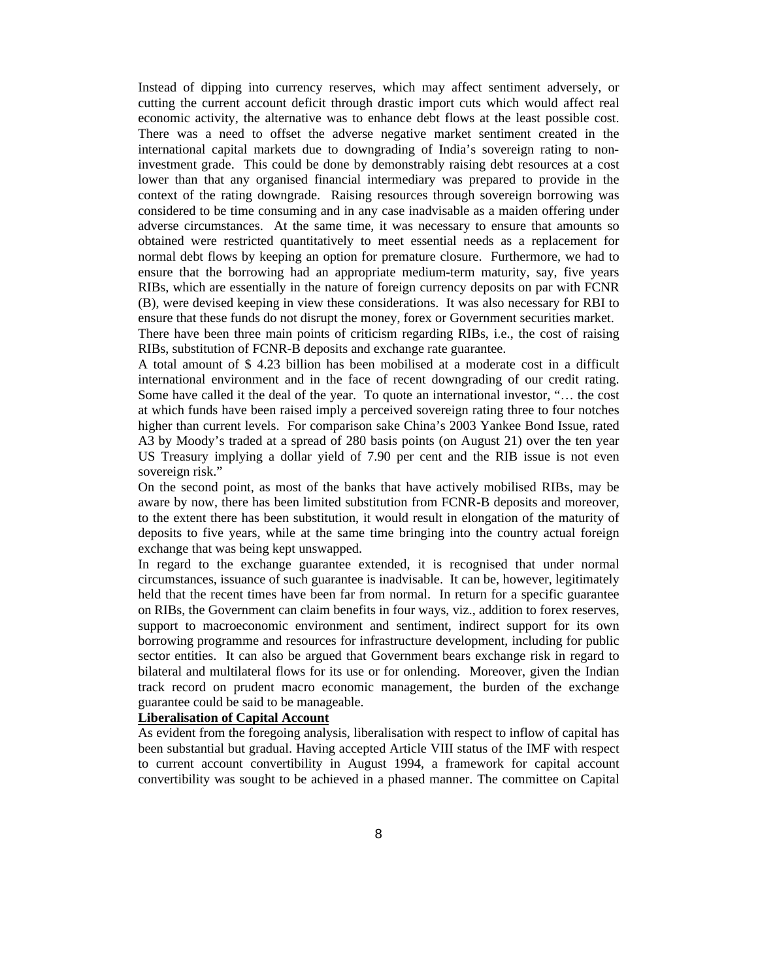Instead of dipping into currency reserves, which may affect sentiment adversely, or cutting the current account deficit through drastic import cuts which would affect real economic activity, the alternative was to enhance debt flows at the least possible cost. There was a need to offset the adverse negative market sentiment created in the international capital markets due to downgrading of India's sovereign rating to noninvestment grade. This could be done by demonstrably raising debt resources at a cost lower than that any organised financial intermediary was prepared to provide in the context of the rating downgrade. Raising resources through sovereign borrowing was considered to be time consuming and in any case inadvisable as a maiden offering under adverse circumstances. At the same time, it was necessary to ensure that amounts so obtained were restricted quantitatively to meet essential needs as a replacement for normal debt flows by keeping an option for premature closure. Furthermore, we had to ensure that the borrowing had an appropriate medium-term maturity, say, five years RIBs, which are essentially in the nature of foreign currency deposits on par with FCNR (B), were devised keeping in view these considerations. It was also necessary for RBI to ensure that these funds do not disrupt the money, forex or Government securities market. There have been three main points of criticism regarding RIBs, i.e., the cost of raising RIBs, substitution of FCNR-B deposits and exchange rate guarantee.

A total amount of \$ 4.23 billion has been mobilised at a moderate cost in a difficult international environment and in the face of recent downgrading of our credit rating. Some have called it the deal of the year. To quote an international investor, "… the cost at which funds have been raised imply a perceived sovereign rating three to four notches higher than current levels. For comparison sake China's 2003 Yankee Bond Issue, rated A3 by Moody's traded at a spread of 280 basis points (on August 21) over the ten year US Treasury implying a dollar yield of 7.90 per cent and the RIB issue is not even sovereign risk."

On the second point, as most of the banks that have actively mobilised RIBs, may be aware by now, there has been limited substitution from FCNR-B deposits and moreover, to the extent there has been substitution, it would result in elongation of the maturity of deposits to five years, while at the same time bringing into the country actual foreign exchange that was being kept unswapped.

In regard to the exchange guarantee extended, it is recognised that under normal circumstances, issuance of such guarantee is inadvisable. It can be, however, legitimately held that the recent times have been far from normal. In return for a specific guarantee on RIBs, the Government can claim benefits in four ways, viz., addition to forex reserves, support to macroeconomic environment and sentiment, indirect support for its own borrowing programme and resources for infrastructure development, including for public sector entities. It can also be argued that Government bears exchange risk in regard to bilateral and multilateral flows for its use or for onlending. Moreover, given the Indian track record on prudent macro economic management, the burden of the exchange guarantee could be said to be manageable.

#### **Liberalisation of Capital Account**

As evident from the foregoing analysis, liberalisation with respect to inflow of capital has been substantial but gradual. Having accepted Article VIII status of the IMF with respect to current account convertibility in August 1994, a framework for capital account convertibility was sought to be achieved in a phased manner. The committee on Capital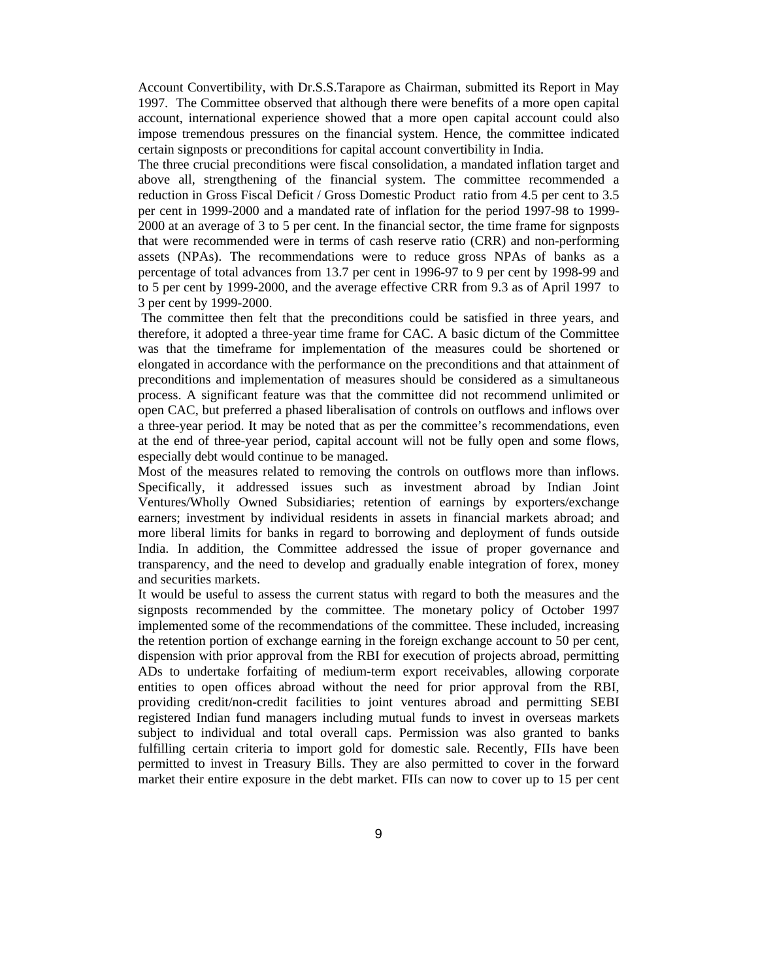Account Convertibility, with Dr.S.S.Tarapore as Chairman, submitted its Report in May 1997. The Committee observed that although there were benefits of a more open capital account, international experience showed that a more open capital account could also impose tremendous pressures on the financial system. Hence, the committee indicated certain signposts or preconditions for capital account convertibility in India.

The three crucial preconditions were fiscal consolidation, a mandated inflation target and above all, strengthening of the financial system. The committee recommended a reduction in Gross Fiscal Deficit / Gross Domestic Product ratio from 4.5 per cent to 3.5 per cent in 1999-2000 and a mandated rate of inflation for the period 1997-98 to 1999- 2000 at an average of 3 to 5 per cent. In the financial sector, the time frame for signposts that were recommended were in terms of cash reserve ratio (CRR) and non-performing assets (NPAs). The recommendations were to reduce gross NPAs of banks as a percentage of total advances from 13.7 per cent in 1996-97 to 9 per cent by 1998-99 and to 5 per cent by 1999-2000, and the average effective CRR from 9.3 as of April 1997 to 3 per cent by 1999-2000.

 The committee then felt that the preconditions could be satisfied in three years, and therefore, it adopted a three-year time frame for CAC. A basic dictum of the Committee was that the timeframe for implementation of the measures could be shortened or elongated in accordance with the performance on the preconditions and that attainment of preconditions and implementation of measures should be considered as a simultaneous process. A significant feature was that the committee did not recommend unlimited or open CAC, but preferred a phased liberalisation of controls on outflows and inflows over a three-year period. It may be noted that as per the committee's recommendations, even at the end of three-year period, capital account will not be fully open and some flows, especially debt would continue to be managed.

Most of the measures related to removing the controls on outflows more than inflows. Specifically, it addressed issues such as investment abroad by Indian Joint Ventures/Wholly Owned Subsidiaries; retention of earnings by exporters/exchange earners; investment by individual residents in assets in financial markets abroad; and more liberal limits for banks in regard to borrowing and deployment of funds outside India. In addition, the Committee addressed the issue of proper governance and transparency, and the need to develop and gradually enable integration of forex, money and securities markets.

It would be useful to assess the current status with regard to both the measures and the signposts recommended by the committee. The monetary policy of October 1997 implemented some of the recommendations of the committee. These included, increasing the retention portion of exchange earning in the foreign exchange account to 50 per cent, dispension with prior approval from the RBI for execution of projects abroad, permitting ADs to undertake forfaiting of medium-term export receivables, allowing corporate entities to open offices abroad without the need for prior approval from the RBI, providing credit/non-credit facilities to joint ventures abroad and permitting SEBI registered Indian fund managers including mutual funds to invest in overseas markets subject to individual and total overall caps. Permission was also granted to banks fulfilling certain criteria to import gold for domestic sale. Recently, FIIs have been permitted to invest in Treasury Bills. They are also permitted to cover in the forward market their entire exposure in the debt market. FIIs can now to cover up to 15 per cent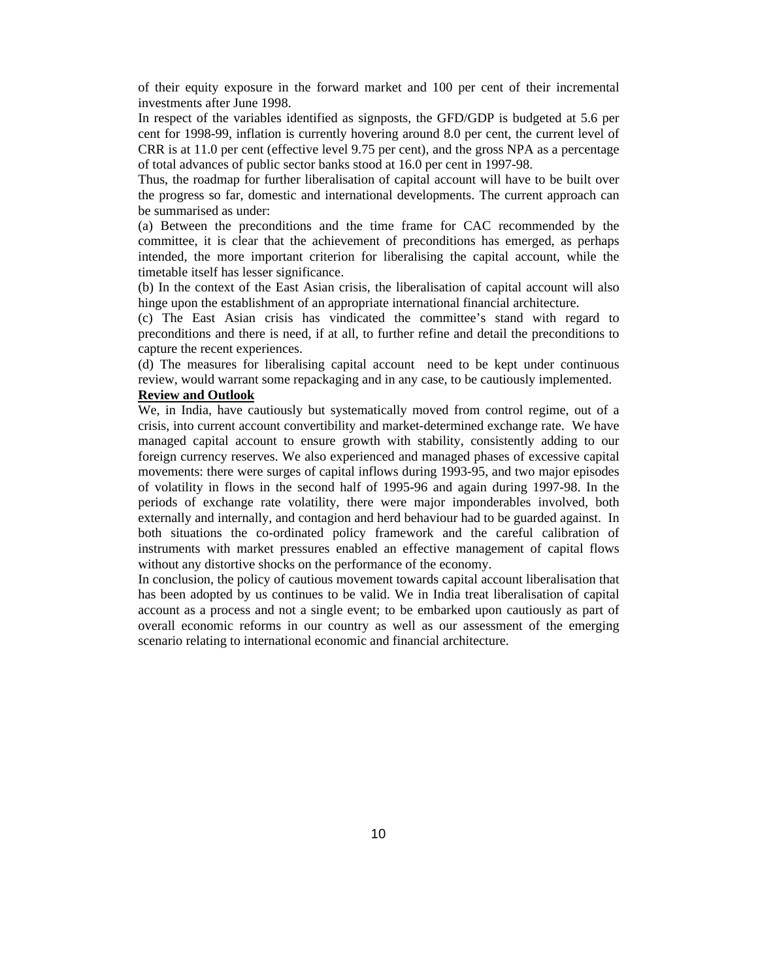of their equity exposure in the forward market and 100 per cent of their incremental investments after June 1998.

In respect of the variables identified as signposts, the GFD/GDP is budgeted at 5.6 per cent for 1998-99, inflation is currently hovering around 8.0 per cent, the current level of CRR is at 11.0 per cent (effective level 9.75 per cent), and the gross NPA as a percentage of total advances of public sector banks stood at 16.0 per cent in 1997-98.

Thus, the roadmap for further liberalisation of capital account will have to be built over the progress so far, domestic and international developments. The current approach can be summarised as under:

(a) Between the preconditions and the time frame for CAC recommended by the committee, it is clear that the achievement of preconditions has emerged, as perhaps intended, the more important criterion for liberalising the capital account, while the timetable itself has lesser significance.

(b) In the context of the East Asian crisis, the liberalisation of capital account will also hinge upon the establishment of an appropriate international financial architecture.

(c) The East Asian crisis has vindicated the committee's stand with regard to preconditions and there is need, if at all, to further refine and detail the preconditions to capture the recent experiences.

(d) The measures for liberalising capital account need to be kept under continuous review, would warrant some repackaging and in any case, to be cautiously implemented.

#### **Review and Outlook**

We, in India, have cautiously but systematically moved from control regime, out of a crisis, into current account convertibility and market-determined exchange rate. We have managed capital account to ensure growth with stability, consistently adding to our foreign currency reserves. We also experienced and managed phases of excessive capital movements: there were surges of capital inflows during 1993-95, and two major episodes of volatility in flows in the second half of 1995-96 and again during 1997-98. In the periods of exchange rate volatility, there were major imponderables involved, both externally and internally, and contagion and herd behaviour had to be guarded against. In both situations the co-ordinated policy framework and the careful calibration of instruments with market pressures enabled an effective management of capital flows without any distortive shocks on the performance of the economy.

In conclusion, the policy of cautious movement towards capital account liberalisation that has been adopted by us continues to be valid. We in India treat liberalisation of capital account as a process and not a single event; to be embarked upon cautiously as part of overall economic reforms in our country as well as our assessment of the emerging scenario relating to international economic and financial architecture.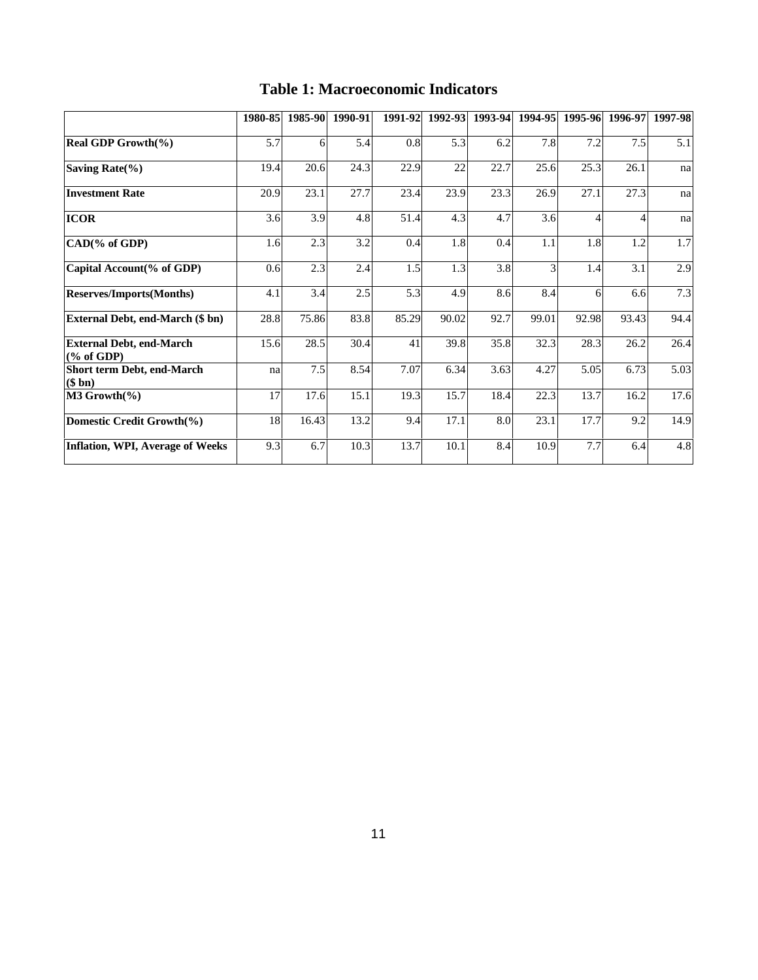|                                                  | 1980-85 | 1985-90 | 1990-91 | 1991-92 | 1992-93 | 1993-94 | 1994-95 | 1995-96 | 1996-97 | 1997-98 |
|--------------------------------------------------|---------|---------|---------|---------|---------|---------|---------|---------|---------|---------|
| Real GDP Growth(%)                               | 5.7     | 6       | 5.4     | 0.8     | 5.3     | 6.2     | 7.8     | 7.2     | 7.5     | 5.1     |
| Saving Rate $(\% )$                              | 19.4    | 20.6    | 24.3    | 22.9    | 22      | 22.7    | 25.6    | 25.3    | 26.1    | na      |
| <b>Investment Rate</b>                           | 20.9    | 23.1    | 27.7    | 23.4    | 23.9    | 23.3    | 26.9    | 27.1    | 27.3    | na      |
| <b>ICOR</b>                                      | 3.6     | 3.9     | 4.8     | 51.4    | 4.3     | 4.7     | 3.6     | 4       |         | na      |
| CAD(% of GDP)                                    | 1.6     | 2.3     | 3.2     | 0.4     | 1.8     | 0.4     | 1.1     | 1.8     | 1.2     | $1.7\,$ |
| Capital Account(% of GDP)                        | 0.6     | 2.3     | 2.4     | 1.5     | 1.3     | 3.8     | 3       | 1.4     | 3.1     | 2.9     |
| <b>Reserves/Imports(Months)</b>                  | 4.1     | 3.4     | 2.5     | 5.3     | 4.9     | 8.6     | 8.4     | 6       | 6.6     | 7.3     |
| <b>External Debt, end-March (\$ bn)</b>          | 28.8    | 75.86   | 83.8    | 85.29   | 90.02   | 92.7    | 99.01   | 92.98   | 93.43   | 94.4    |
| <b>External Debt, end-March</b><br>$(\%$ of GDP) | 15.6    | 28.5    | 30.4    | 41      | 39.8    | 35.8    | 32.3    | 28.3    | 26.2    | 26.4    |
| Short term Debt, end-March<br>$(\$$ bn)          | na      | $7.5$   | 8.54    | 7.07    | 6.34    | 3.63    | 4.27    | 5.05    | 6.73    | 5.03    |
| $M3$ Growth $(\% )$                              | 17      | 17.6    | 15.1    | 19.3    | 15.7    | 18.4    | 22.3    | 13.7    | 16.2    | 17.6    |
| Domestic Credit Growth(%)                        | 18      | 16.43   | 13.2    | 9.4     | 17.1    | 8.0     | 23.1    | 17.7    | 9.2     | 14.9    |
| Inflation, WPI, Average of Weeks                 | 9.3     | 6.7     | 10.3    | 13.7    | 10.1    | 8.4     | 10.9    | 7.7     | 6.4     | 4.8     |

## **Table 1: Macroeconomic Indicators**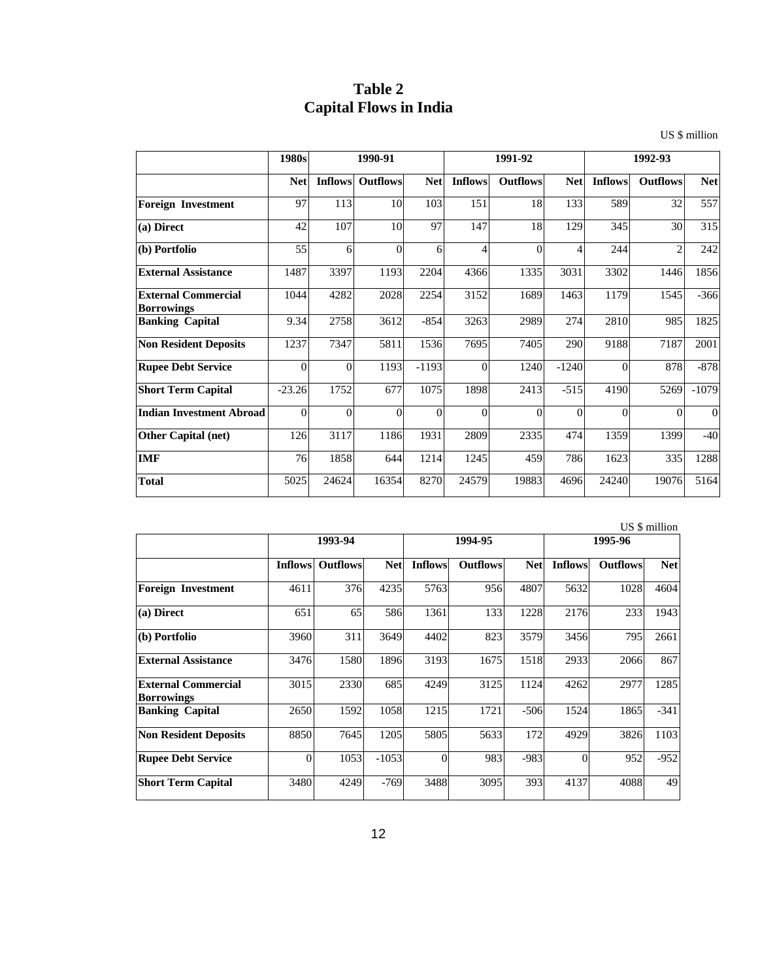## **Table 2 Capital Flows in India**

US \$ million

|                                                 | 1980s      | 1990-91        |                 |            | 1991-92        |                 |            | 1992-93        |                 |            |
|-------------------------------------------------|------------|----------------|-----------------|------------|----------------|-----------------|------------|----------------|-----------------|------------|
|                                                 | <b>Net</b> | <b>Inflows</b> | <b>Outflows</b> | <b>Net</b> | <b>Inflows</b> | <b>Outflows</b> | <b>Net</b> | <b>Inflows</b> | <b>Outflows</b> | <b>Net</b> |
| <b>Foreign Investment</b>                       | 97         | 113            | 10              | 103        | 151            | 18              | 133        | 589            | 32              | 557        |
| (a) Direct                                      | 42         | 107            | 10              | 97         | 147            | 18              | 129        | 345            | 30              | 315        |
| (b) Portfolio                                   | 55         | 6              | $\theta$        | 6          | 4              | $\theta$        | 4          | 244            | $\overline{2}$  | 242        |
| <b>External Assistance</b>                      | 1487       | 3397           | 1193            | 2204       | 4366           | 1335            | 3031       | 3302           | 1446            | 1856       |
| <b>External Commercial</b><br><b>Borrowings</b> | 1044       | 4282           | 2028            | 2254       | 3152           | 1689            | 1463       | 1179           | 1545            | $-366$     |
| <b>Banking Capital</b>                          | 9.34       | 2758           | 3612            | $-854$     | 3263           | 2989            | 274        | 2810           | 985             | 1825       |
| <b>Non Resident Deposits</b>                    | 1237       | 7347           | 5811            | 1536       | 7695           | 7405            | 290        | 9188           | 7187            | 2001       |
| <b>Rupee Debt Service</b>                       | $\theta$   | $\Omega$       | 1193            | $-1193$    | $\Omega$       | 1240            | $-1240$    | $\Omega$       | 878             | $-878$     |
| <b>Short Term Capital</b>                       | $-23.26$   | 1752           | 677             | 1075       | 1898           | 2413            | $-515$     | 4190           | 5269            | $-1079$    |
| <b>Indian Investment Abroad</b>                 | $\Omega$   | $\Omega$       | $\Omega$        | $\Omega$   | $\Omega$       | $\Omega$        | $\Omega$   | $\Omega$       | $\Omega$        | $\Omega$   |
| Other Capital (net)                             | 126        | 3117           | 1186            | 1931       | 2809           | 2335            | 474        | 1359           | 1399            | $-40$      |
| <b>IMF</b>                                      | 76         | 1858           | 644             | 1214       | 1245           | 459             | 786        | 1623           | 335             | 1288       |
| <b>Total</b>                                    | 5025       | 24624          | 16354           | 8270       | 24579          | 19883           | 4696       | 24240          | 19076           | 5164       |

US \$ million

|                                                 | 1993-94        |                 |            | 1994-95        |                 |            | 1995-96        |                 |            |
|-------------------------------------------------|----------------|-----------------|------------|----------------|-----------------|------------|----------------|-----------------|------------|
|                                                 | <b>Inflows</b> | <b>Outflows</b> | <b>Net</b> | <b>Inflows</b> | <b>Outflows</b> | <b>Net</b> | <b>Inflows</b> | <b>Outflows</b> | <b>Net</b> |
| <b>Foreign Investment</b>                       | 4611           | 376             | 4235       | 5763           | 956             | 4807       | 5632           | 1028            | 4604       |
| (a) Direct                                      | 651            | 65              | 586        | 1361           | 133             | 1228       | 2176           | 233             | 1943       |
| (b) Portfolio                                   | 3960           | 311             | 3649       | 4402           | 823             | 3579       | 3456           | 795             | 2661       |
| <b>External Assistance</b>                      | 3476           | 1580            | 1896       | 3193           | 1675            | 1518       | 2933           | 2066            | 867        |
| <b>External Commercial</b><br><b>Borrowings</b> | 3015           | 2330            | 685        | 4249           | 3125            | 1124       | 4262           | 2977            | 1285       |
| <b>Banking Capital</b>                          | 2650           | 1592            | 1058       | 1215           | 1721            | $-506$     | 1524           | 1865            | $-341$     |
| <b>Non Resident Deposits</b>                    | 8850           | 7645            | 1205       | 5805           | 5633            | 172        | 4929           | 3826            | 1103       |
| <b>Rupee Debt Service</b>                       | $\Omega$       | 1053            | $-1053$    | $\theta$       | 983             | $-983$     | $\Omega$       | 952             | $-952$     |
| <b>Short Term Capital</b>                       | 3480           | 4249            | $-769$     | 3488           | 3095            | 393        | 4137           | 4088            | 49         |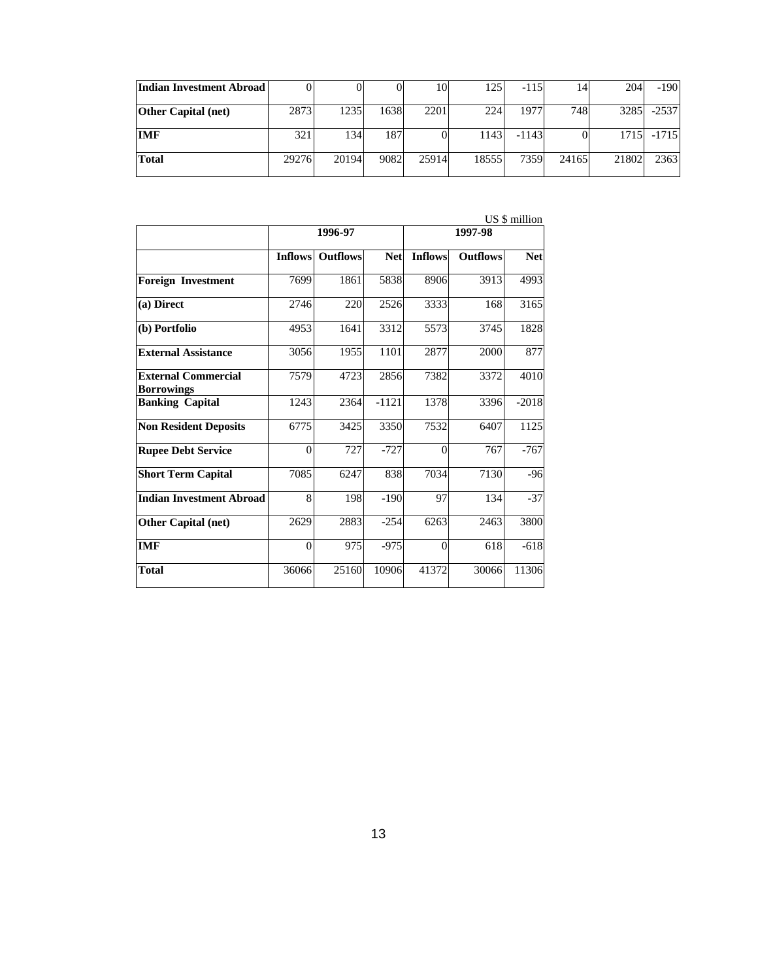| Indian Investment Abroad   |       |       |      | 10    | 125   | $-115$  | 14    | 204   | $-190$  |
|----------------------------|-------|-------|------|-------|-------|---------|-------|-------|---------|
| <b>Other Capital (net)</b> | 2873  | 1235  | 1638 | 2201  | 224   | 1977    | 748   | 3285  | $-2537$ |
| IMF                        | 321   | 134   | 187  |       | 1143  | $-1143$ |       | 1715  | $-1715$ |
| <b>Total</b>               | 29276 | 20194 | 9082 | 25914 | 18555 | 7359    | 24165 | 21802 | 2363    |

|                                                 |                | 1996-97         |            | $0.9 \pm 0.000$<br>1997-98 |                 |            |  |
|-------------------------------------------------|----------------|-----------------|------------|----------------------------|-----------------|------------|--|
|                                                 |                |                 |            |                            |                 |            |  |
|                                                 | <b>Inflows</b> | <b>Outflows</b> | <b>Net</b> | <b>Inflows</b>             | <b>Outflows</b> | <b>Net</b> |  |
| <b>Foreign Investment</b>                       | 7699           | 1861            | 5838       | 8906                       | 3913            | 4993       |  |
| (a) Direct                                      | 2746           | 220             | 2526       | 3333                       | 168             | 3165       |  |
| (b) Portfolio                                   | 4953           | 1641            | 3312       | 5573                       | 3745            | 1828       |  |
| <b>External Assistance</b>                      | 3056           | 1955            | 1101       | 2877                       | 2000            | 877        |  |
| <b>External Commercial</b><br><b>Borrowings</b> | 7579           | 4723            | 2856       | 7382                       | 3372            | 4010       |  |
| <b>Banking Capital</b>                          | 1243           | 2364            | $-1121$    | 1378                       | 3396            | $-2018$    |  |
| <b>Non Resident Deposits</b>                    | 6775           | 3425            | 3350       | 7532                       | 6407            | 1125       |  |
| <b>Rupee Debt Service</b>                       | $\Omega$       | 727             | $-727$     | $\Omega$                   | 767             | $-767$     |  |
| <b>Short Term Capital</b>                       | 7085           | 6247            | 838        | 7034                       | 7130            | $-96$      |  |
| <b>Indian Investment Abroad</b>                 | 8              | 198             | $-190$     | 97                         | 134             | $-37$      |  |
| <b>Other Capital (net)</b>                      | 2629           | 2883            | $-254$     | 6263                       | 2463            | 3800       |  |
| <b>IMF</b>                                      | $\theta$       | 975             | $-975$     | $\theta$                   | 618             | $-618$     |  |
| <b>Total</b>                                    | 36066          | 25160           | 10906      | 41372                      | 30066           | 11306      |  |

US \$ million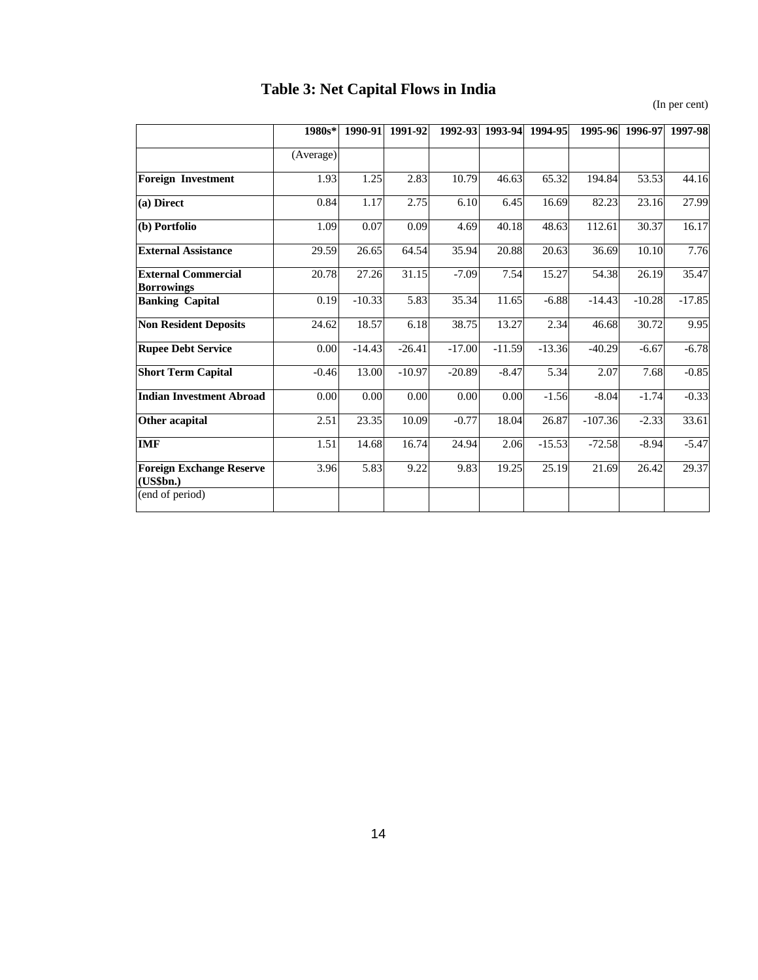# **Table 3: Net Capital Flows in India**

(In per cent)

|                                                 | 1980s*    | 1990-91  | 1991-92  | 1992-93  | 1993-94  | 1994-95  | 1995-96   | 1996-97  | 1997-98  |
|-------------------------------------------------|-----------|----------|----------|----------|----------|----------|-----------|----------|----------|
|                                                 | (Average) |          |          |          |          |          |           |          |          |
| <b>Foreign Investment</b>                       | 1.93      | 1.25     | 2.83     | 10.79    | 46.63    | 65.32    | 194.84    | 53.53    | 44.16    |
| (a) Direct                                      | 0.84      | 1.17     | 2.75     | 6.10     | 6.45     | 16.69    | 82.23     | 23.16    | 27.99    |
| (b) Portfolio                                   | 1.09      | 0.07     | 0.09     | 4.69     | 40.18    | 48.63    | 112.61    | 30.37    | 16.17    |
| <b>External Assistance</b>                      | 29.59     | 26.65    | 64.54    | 35.94    | 20.88    | 20.63    | 36.69     | 10.10    | 7.76     |
| <b>External Commercial</b><br><b>Borrowings</b> | 20.78     | 27.26    | 31.15    | $-7.09$  | 7.54     | 15.27    | 54.38     | 26.19    | 35.47    |
| <b>Banking Capital</b>                          | 0.19      | $-10.33$ | 5.83     | 35.34    | 11.65    | $-6.88$  | $-14.43$  | $-10.28$ | $-17.85$ |
| <b>Non Resident Deposits</b>                    | 24.62     | 18.57    | 6.18     | 38.75    | 13.27    | 2.34     | 46.68     | 30.72    | 9.95     |
| <b>Rupee Debt Service</b>                       | 0.00      | $-14.43$ | $-26.41$ | $-17.00$ | $-11.59$ | $-13.36$ | $-40.29$  | $-6.67$  | $-6.78$  |
| <b>Short Term Capital</b>                       | $-0.46$   | 13.00    | $-10.97$ | $-20.89$ | $-8.47$  | 5.34     | 2.07      | 7.68     | $-0.85$  |
| <b>Indian Investment Abroad</b>                 | 0.00      | 0.00     | 0.00     | 0.00     | 0.00     | $-1.56$  | $-8.04$   | $-1.74$  | $-0.33$  |
| Other acapital                                  | 2.51      | 23.35    | 10.09    | $-0.77$  | 18.04    | 26.87    | $-107.36$ | $-2.33$  | 33.61    |
| <b>IMF</b>                                      | 1.51      | 14.68    | 16.74    | 24.94    | 2.06     | $-15.53$ | $-72.58$  | $-8.94$  | $-5.47$  |
| <b>Foreign Exchange Reserve</b><br>(US5bn.)     | 3.96      | 5.83     | 9.22     | 9.83     | 19.25    | 25.19    | 21.69     | 26.42    | 29.37    |
| (end of period)                                 |           |          |          |          |          |          |           |          |          |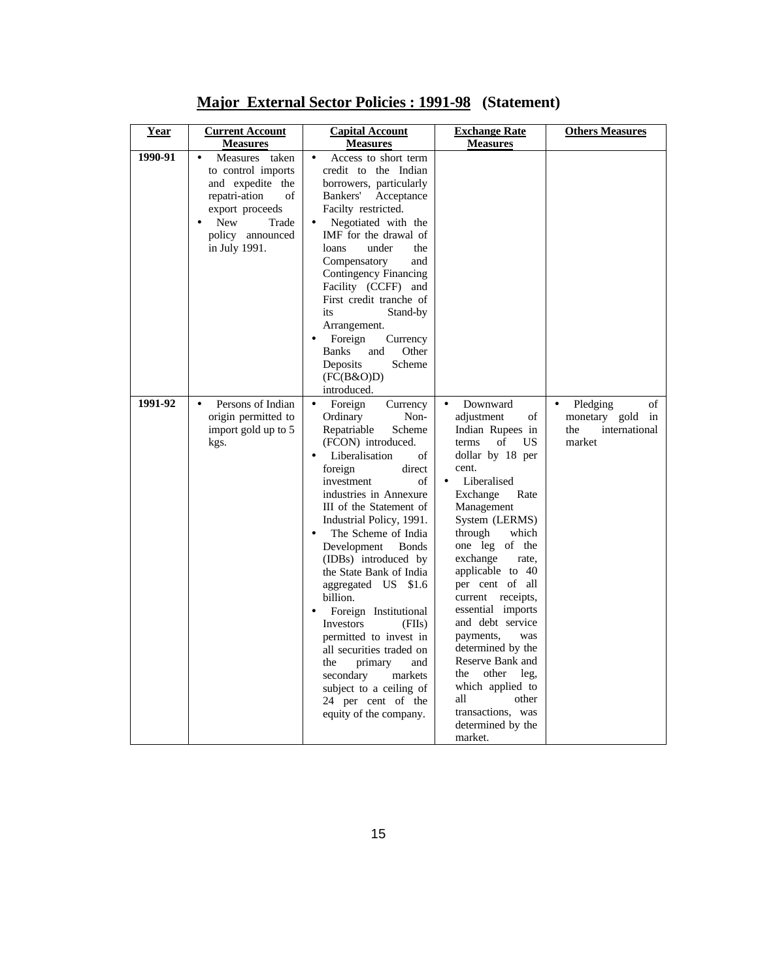| Year    | <b>Current Account</b><br><b>Measures</b>                                                                                                                      | <b>Capital Account</b><br><b>Measures</b>                                                                                                                                                                                                                                                                                                                                                                                                                                                                                                                                                                                           | <b>Exchange Rate</b><br><b>Measures</b>                                                                                                                                                                                                                                                                                                                                                                                                                                                                                                       | <b>Others Measures</b>                                                  |
|---------|----------------------------------------------------------------------------------------------------------------------------------------------------------------|-------------------------------------------------------------------------------------------------------------------------------------------------------------------------------------------------------------------------------------------------------------------------------------------------------------------------------------------------------------------------------------------------------------------------------------------------------------------------------------------------------------------------------------------------------------------------------------------------------------------------------------|-----------------------------------------------------------------------------------------------------------------------------------------------------------------------------------------------------------------------------------------------------------------------------------------------------------------------------------------------------------------------------------------------------------------------------------------------------------------------------------------------------------------------------------------------|-------------------------------------------------------------------------|
| 1990-91 | Measures taken<br>to control imports<br>and expedite the<br>repatri-ation<br>of<br>export proceeds<br><b>New</b><br>Trade<br>policy announced<br>in July 1991. | Access to short term<br>credit to the Indian<br>borrowers, particularly<br>Acceptance<br>Bankers'<br>Facilty restricted.<br>Negotiated with the<br>IMF for the drawal of<br>loans<br>under<br>the<br>Compensatory<br>and<br><b>Contingency Financing</b><br>Facility (CCFF) and<br>First credit tranche of<br>Stand-by<br>its<br>Arrangement.<br>Foreign<br>Currency<br><b>Banks</b><br>Other<br>and<br>Scheme<br>Deposits<br>(FC(B&O)D)<br>introduced.                                                                                                                                                                             |                                                                                                                                                                                                                                                                                                                                                                                                                                                                                                                                               |                                                                         |
| 1991-92 | Persons of Indian<br>origin permitted to<br>import gold up to 5<br>kgs.                                                                                        | Foreign<br>Currency<br>$\bullet$<br>Ordinary<br>Non-<br>Repatriable<br>Scheme<br>(FCON) introduced.<br>Liberalisation<br>οf<br>foreign<br>direct<br>investment<br>of<br>industries in Annexure<br>III of the Statement of<br>Industrial Policy, 1991.<br>The Scheme of India<br>Development<br><b>Bonds</b><br>(IDBs) introduced by<br>the State Bank of India<br>aggregated US \$1.6<br>billion.<br>Foreign Institutional<br>Investors<br>(FIIs)<br>permitted to invest in<br>all securities traded on<br>the<br>primary<br>and<br>secondary<br>markets<br>subject to a ceiling of<br>24 per cent of the<br>equity of the company. | Downward<br>$\bullet$<br>adjustment<br>of<br>Indian Rupees in<br>US<br>terms<br>of<br>dollar by 18 per<br>cent.<br>Liberalised<br>$\bullet$<br>Rate<br>Exchange<br>Management<br>System (LERMS)<br>through<br>which<br>one leg of the<br>exchange<br>rate,<br>applicable to 40<br>per cent of all<br>current receipts,<br>essential imports<br>and debt service<br>payments,<br>was<br>determined by the<br>Reserve Bank and<br>other<br>the<br>leg,<br>which applied to<br>all<br>other<br>transactions, was<br>determined by the<br>market. | Pledging<br>of<br>monetary gold<br>in<br>the<br>international<br>market |

**Major External Sector Policies : 1991-98 (Statement)**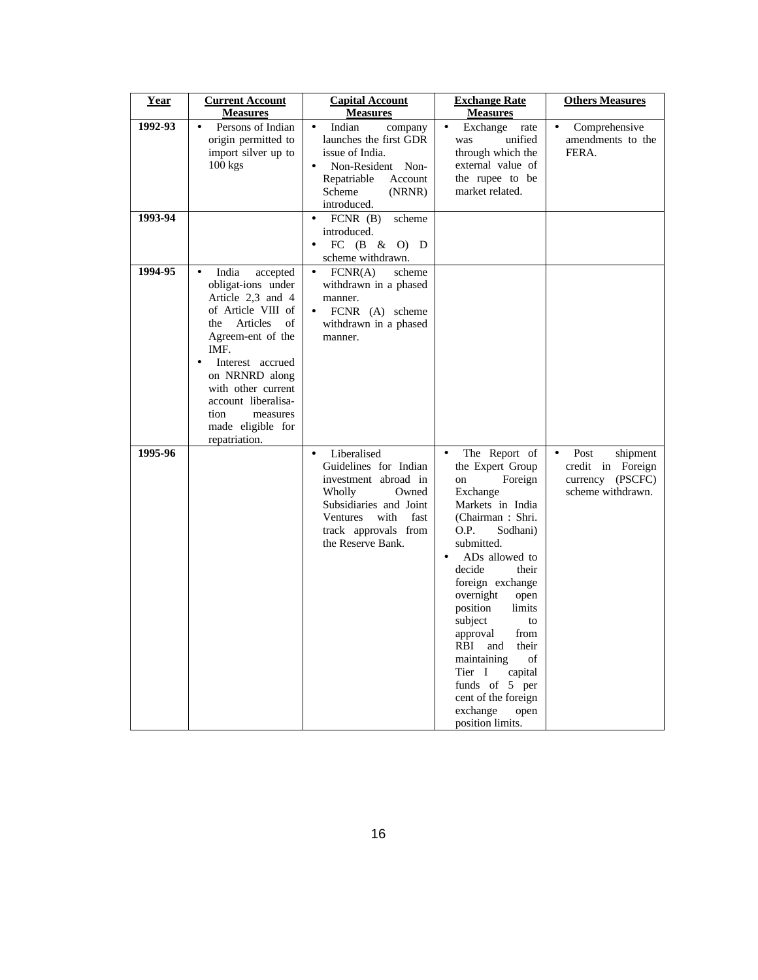| Year    | <b>Current Account</b><br><b>Measures</b>                                                                                                                                                                                                                                                          | <b>Capital Account</b><br><b>Measures</b>                                                                                                                                                       | <b>Exchange Rate</b><br><b>Measures</b>                                                                                                                                                                                                                                                                                                                                                                                                                                | <b>Others Measures</b>                                                                      |
|---------|----------------------------------------------------------------------------------------------------------------------------------------------------------------------------------------------------------------------------------------------------------------------------------------------------|-------------------------------------------------------------------------------------------------------------------------------------------------------------------------------------------------|------------------------------------------------------------------------------------------------------------------------------------------------------------------------------------------------------------------------------------------------------------------------------------------------------------------------------------------------------------------------------------------------------------------------------------------------------------------------|---------------------------------------------------------------------------------------------|
| 1992-93 | Persons of Indian<br>origin permitted to<br>import silver up to<br>$100$ kgs                                                                                                                                                                                                                       | Indian<br>company<br>$\bullet$<br>launches the first GDR<br>issue of India.<br>Non-Resident Non-<br>$\bullet$<br>Repatriable<br>Account<br>Scheme<br>(NRNR)<br>introduced.                      | Exchange<br>$\bullet$<br>rate<br>unified<br>was<br>through which the<br>external value of<br>the rupee to be<br>market related.                                                                                                                                                                                                                                                                                                                                        | Comprehensive<br>amendments to the<br>FERA.                                                 |
| 1993-94 |                                                                                                                                                                                                                                                                                                    | scheme<br>$FCNR$ (B)<br>introduced.<br>FC $(B \& O)$ D<br>scheme withdrawn.                                                                                                                     |                                                                                                                                                                                                                                                                                                                                                                                                                                                                        |                                                                                             |
| 1994-95 | India<br>accepted<br>obligat-ions under<br>Article 2,3 and 4<br>of Article VIII of<br>Articles<br>of<br>the<br>Agreem-ent of the<br>IMF.<br>Interest accrued<br>$\bullet$<br>on NRNRD along<br>with other current<br>account liberalisa-<br>measures<br>tion<br>made eligible for<br>repatriation. | FCNR(A)<br>$\bullet$<br>scheme<br>withdrawn in a phased<br>manner.<br>FCNR (A) scheme<br>$\bullet$<br>withdrawn in a phased<br>manner.                                                          |                                                                                                                                                                                                                                                                                                                                                                                                                                                                        |                                                                                             |
| 1995-96 |                                                                                                                                                                                                                                                                                                    | Liberalised<br>$\bullet$<br>Guidelines for Indian<br>investment abroad in<br>Wholly<br>Owned<br>Subsidiaries and Joint<br>Ventures<br>with<br>fast<br>track approvals from<br>the Reserve Bank. | The Report of<br>$\bullet$<br>the Expert Group<br>Foreign<br>on<br>Exchange<br>Markets in India<br>(Chairman: Shri.<br>O.P.<br>Sodhani)<br>submitted.<br>AD <sub>s</sub> allowed to<br>$\bullet$<br>decide<br>their<br>foreign exchange<br>overnight<br>open<br>position<br>limits<br>subject<br>to<br>approval<br>from<br>RBI and<br>their<br>maintaining<br>of<br>Tier I<br>capital<br>funds of 5 per<br>cent of the foreign<br>exchange<br>open<br>position limits. | Post<br>shipment<br>$\bullet$<br>credit in Foreign<br>currency (PSCFC)<br>scheme withdrawn. |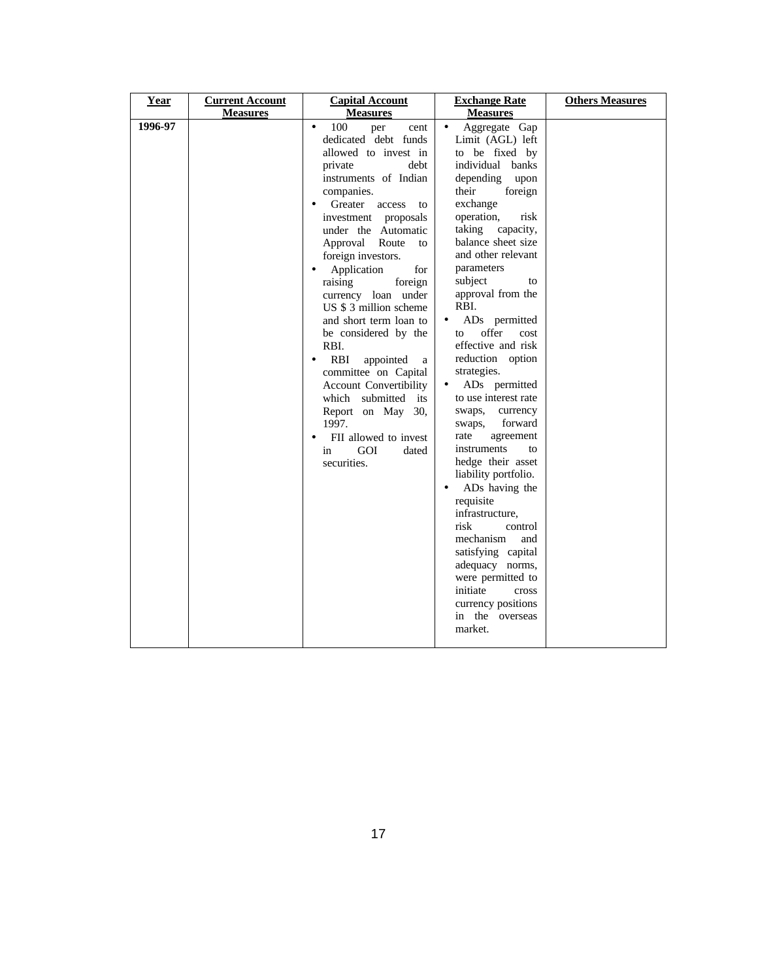| Year    | <b>Current Account</b> | <b>Capital Account</b>                                                                                                                                                                                                                                                                                                                                                                                                                                                                                                                                                                                                                   | <b>Exchange Rate</b>                                                                                                                                                                                                                                                                                                                                                                                                                                                                                                                                                                                                                                                                                                                                                                                                                              | <b>Others Measures</b> |
|---------|------------------------|------------------------------------------------------------------------------------------------------------------------------------------------------------------------------------------------------------------------------------------------------------------------------------------------------------------------------------------------------------------------------------------------------------------------------------------------------------------------------------------------------------------------------------------------------------------------------------------------------------------------------------------|---------------------------------------------------------------------------------------------------------------------------------------------------------------------------------------------------------------------------------------------------------------------------------------------------------------------------------------------------------------------------------------------------------------------------------------------------------------------------------------------------------------------------------------------------------------------------------------------------------------------------------------------------------------------------------------------------------------------------------------------------------------------------------------------------------------------------------------------------|------------------------|
|         | <b>Measures</b>        | <b>Measures</b>                                                                                                                                                                                                                                                                                                                                                                                                                                                                                                                                                                                                                          | <b>Measures</b>                                                                                                                                                                                                                                                                                                                                                                                                                                                                                                                                                                                                                                                                                                                                                                                                                                   |                        |
| 1996-97 |                        | 100<br>per<br>$\bullet$<br>cent<br>dedicated debt funds<br>allowed to invest in<br>private<br>debt<br>instruments of Indian<br>companies.<br>Greater<br>access<br>to<br>investment proposals<br>under the Automatic<br>Route<br>Approval<br>to<br>foreign investors.<br>Application<br>for<br>raising<br>foreign<br>currency loan under<br>US \$ 3 million scheme<br>and short term loan to<br>be considered by the<br>RBI.<br>RBI<br>appointed<br>a<br>٠<br>committee on Capital<br><b>Account Convertibility</b><br>which submitted its<br>30.<br>Report on May<br>1997.<br>FII allowed to invest<br>GOI<br>in<br>dated<br>securities. | Aggregate Gap<br>$\bullet$<br>Limit (AGL) left<br>to be fixed by<br>individual banks<br>depending<br>upon<br>their<br>foreign<br>exchange<br>operation,<br>risk<br>taking<br>capacity,<br>balance sheet size<br>and other relevant<br>parameters<br>subject<br>to<br>approval from the<br>RBI.<br>ADs permitted<br>$\bullet$<br>offer<br>cost<br>to<br>effective and risk<br>reduction option<br>strategies.<br>ADs permitted<br>$\bullet$<br>to use interest rate<br>swaps,<br>currency<br>forward<br>swaps,<br>rate<br>agreement<br>instruments<br>to<br>hedge their asset<br>liability portfolio.<br>ADs having the<br>$\bullet$<br>requisite<br>infrastructure,<br>risk<br>control<br>mechanism<br>and<br>satisfying capital<br>adequacy norms,<br>were permitted to<br>initiate<br>cross<br>currency positions<br>in the overseas<br>market. |                        |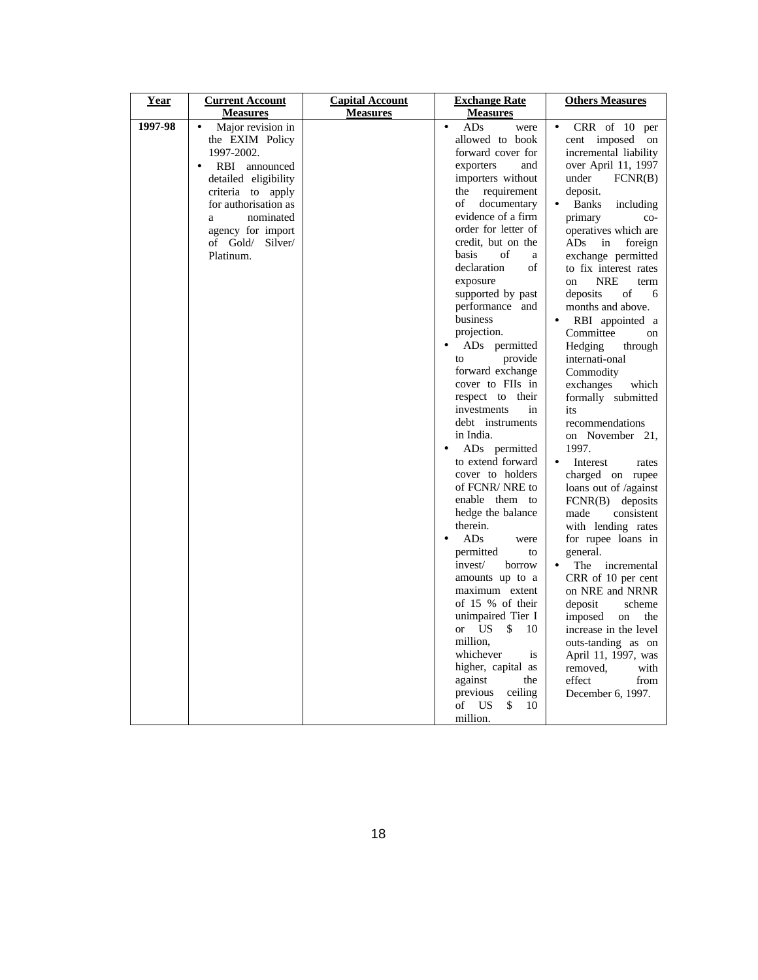| Year    | <b>Current Account</b>                                                                                                                                                                                                                              | <b>Capital Account</b> | <b>Exchange Rate</b>                                                                                                                                                                                                                                                                                                                                                                                                                                                                                                                                                                                                                                                                | <b>Others Measures</b>                                                                                                                                                                                                                                                                                                                                                                                                                                                                                                                                                                                                                                                                                            |
|---------|-----------------------------------------------------------------------------------------------------------------------------------------------------------------------------------------------------------------------------------------------------|------------------------|-------------------------------------------------------------------------------------------------------------------------------------------------------------------------------------------------------------------------------------------------------------------------------------------------------------------------------------------------------------------------------------------------------------------------------------------------------------------------------------------------------------------------------------------------------------------------------------------------------------------------------------------------------------------------------------|-------------------------------------------------------------------------------------------------------------------------------------------------------------------------------------------------------------------------------------------------------------------------------------------------------------------------------------------------------------------------------------------------------------------------------------------------------------------------------------------------------------------------------------------------------------------------------------------------------------------------------------------------------------------------------------------------------------------|
|         |                                                                                                                                                                                                                                                     |                        |                                                                                                                                                                                                                                                                                                                                                                                                                                                                                                                                                                                                                                                                                     |                                                                                                                                                                                                                                                                                                                                                                                                                                                                                                                                                                                                                                                                                                                   |
| 1997-98 | <b>Measures</b><br>Major revision in<br>the EXIM Policy<br>1997-2002.<br>RBI announced<br>$\bullet$<br>detailed eligibility<br>criteria to apply<br>for authorisation as<br>nominated<br>a<br>agency for import<br>of Gold/<br>Silver/<br>Platinum. | <b>Measures</b>        | <b>Measures</b><br>ADs<br>$\bullet$<br>were<br>allowed to book<br>forward cover for<br>exporters<br>and<br>importers without<br>requirement<br>the<br>οf<br>documentary<br>evidence of a firm<br>order for letter of<br>credit, but on the<br>basis<br>of<br>a<br>declaration<br>of<br>exposure<br>supported by past<br>performance and<br>business<br>projection.<br>ADs permitted<br>provide<br>to<br>forward exchange<br>cover to FIIs in<br>respect to<br>their<br>investments<br>in<br>debt instruments<br>in India.<br>AD <sub>s</sub> permitted<br>to extend forward<br>cover to holders<br>of FCNR/NRE to<br>enable them to<br>hedge the balance<br>therein.<br>ADs<br>were | $CRR$ of 10 per<br>cent imposed<br>on<br>incremental liability<br>over April 11, 1997<br>under<br>FCNR(B)<br>deposit.<br><b>Banks</b><br>including<br>primary<br>$CO-$<br>operatives which are<br>ADs<br>in<br>foreign<br>exchange permitted<br>to fix interest rates<br><b>NRE</b><br>on<br>term<br>deposits<br>of<br>6<br>months and above.<br>RBI appointed a<br>Committee<br>on<br>Hedging<br>through<br>internati-onal<br>Commodity<br>exchanges<br>which<br>formally submitted<br>its<br>recommendations<br>on November 21,<br>1997.<br>Interest<br>$\bullet$<br>rates<br>charged on rupee<br>loans out of /against<br>$FCNR(B)$ deposits<br>consistent<br>made<br>with lending rates<br>for rupee loans in |
|         |                                                                                                                                                                                                                                                     |                        | permitted<br>to<br>invest/<br>borrow<br>amounts up to a                                                                                                                                                                                                                                                                                                                                                                                                                                                                                                                                                                                                                             | general.<br>The<br>incremental<br>$\bullet$<br>CRR of 10 per cent                                                                                                                                                                                                                                                                                                                                                                                                                                                                                                                                                                                                                                                 |
|         |                                                                                                                                                                                                                                                     |                        | maximum extent<br>of 15 % of their<br>unimpaired Tier I<br><b>US</b><br>\$<br>10<br><b>or</b><br>million.<br>whichever<br><i>is</i><br>higher, capital as<br>against<br>the                                                                                                                                                                                                                                                                                                                                                                                                                                                                                                         | on NRE and NRNR<br>scheme<br>deposit<br>imposed<br>on<br>the<br>increase in the level<br>outs-tanding as on<br>April 11, 1997, was<br>removed.<br>with<br>effect<br>from                                                                                                                                                                                                                                                                                                                                                                                                                                                                                                                                          |
|         |                                                                                                                                                                                                                                                     |                        | previous<br>ceiling<br>\$<br>of<br>US<br>10<br>million.                                                                                                                                                                                                                                                                                                                                                                                                                                                                                                                                                                                                                             | December 6, 1997.                                                                                                                                                                                                                                                                                                                                                                                                                                                                                                                                                                                                                                                                                                 |